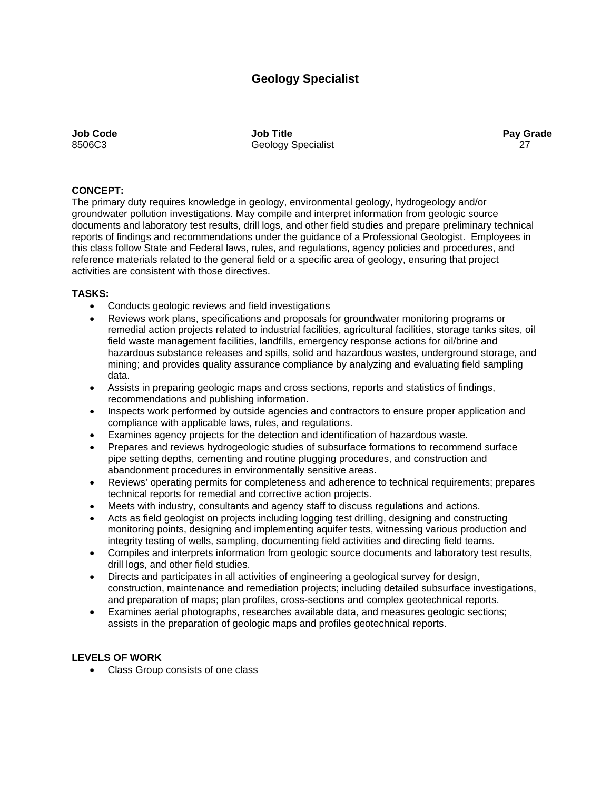# **Geology Specialist**

**Job Code Job Title Pay Grade**  8506C3 Geology Specialist 27

### **CONCEPT:**

The primary duty requires knowledge in geology, environmental geology, hydrogeology and/or groundwater pollution investigations. May compile and interpret information from geologic source documents and laboratory test results, drill logs, and other field studies and prepare preliminary technical reports of findings and recommendations under the guidance of a Professional Geologist. Employees in this class follow State and Federal laws, rules, and regulations, agency policies and procedures, and reference materials related to the general field or a specific area of geology, ensuring that project activities are consistent with those directives.

## **TASKS:**

- Conducts geologic reviews and field investigations
- Reviews work plans, specifications and proposals for groundwater monitoring programs or remedial action projects related to industrial facilities, agricultural facilities, storage tanks sites, oil field waste management facilities, landfills, emergency response actions for oil/brine and hazardous substance releases and spills, solid and hazardous wastes, underground storage, and mining; and provides quality assurance compliance by analyzing and evaluating field sampling data.
- Assists in preparing geologic maps and cross sections, reports and statistics of findings, recommendations and publishing information.
- Inspects work performed by outside agencies and contractors to ensure proper application and compliance with applicable laws, rules, and regulations.
- Examines agency projects for the detection and identification of hazardous waste.
- Prepares and reviews hydrogeologic studies of subsurface formations to recommend surface pipe setting depths, cementing and routine plugging procedures, and construction and abandonment procedures in environmentally sensitive areas.
- Reviews' operating permits for completeness and adherence to technical requirements; prepares technical reports for remedial and corrective action projects.
- Meets with industry, consultants and agency staff to discuss regulations and actions.
- Acts as field geologist on projects including logging test drilling, designing and constructing monitoring points, designing and implementing aquifer tests, witnessing various production and integrity testing of wells, sampling, documenting field activities and directing field teams.
- Compiles and interprets information from geologic source documents and laboratory test results, drill logs, and other field studies.
- Directs and participates in all activities of engineering a geological survey for design, construction, maintenance and remediation projects; including detailed subsurface investigations, and preparation of maps; plan profiles, cross-sections and complex geotechnical reports.
- Examines aerial photographs, researches available data, and measures geologic sections; assists in the preparation of geologic maps and profiles geotechnical reports.

## **LEVELS OF WORK**

• Class Group consists of one class